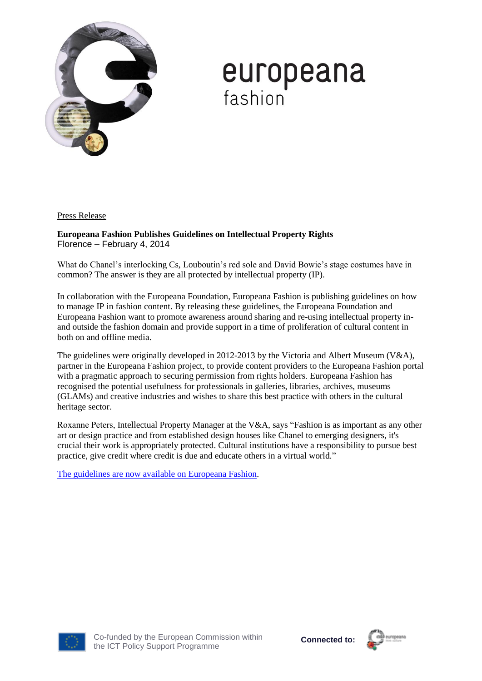

# **europeana**<br>fashion

Press Release

**Europeana Fashion Publishes Guidelines on Intellectual Property Rights** Florence – February 4, 2014

What do Chanel's interlocking Cs, Louboutin's red sole and David Bowie's stage costumes have in common? The answer is they are all protected by intellectual property (IP).

In collaboration with the Europeana Foundation, Europeana Fashion is publishing guidelines on how to manage IP in fashion content. By releasing these guidelines, the Europeana Foundation and Europeana Fashion want to promote awareness around sharing and re-using intellectual property inand outside the fashion domain and provide support in a time of proliferation of cultural content in both on and offline media.

The guidelines were originally developed in 2012-2013 by the Victoria and Albert Museum (V&A), partner in the Europeana Fashion project, to provide content providers to the Europeana Fashion portal with a pragmatic approach to securing permission from rights holders. Europeana Fashion has recognised the potential usefulness for professionals in galleries, libraries, archives, museums (GLAMs) and creative industries and wishes to share this best practice with others in the cultural heritage sector.

Roxanne Peters, Intellectual Property Manager at the V&A, says "Fashion is as important as any other art or design practice and from established design houses like Chanel to emerging designers, it's crucial their work is appropriately protected. Cultural institutions have a responsibility to pursue best practice, give credit where credit is due and educate others in a virtual world."

[The guidelines are now available on Europeana Fashion.](http://blog.europeanafashion.eu/download/Europeana%20Fashion%20IPR%20Guidelines.pdf)



Co-funded by the European Commission within the ICT Policy Support Programme